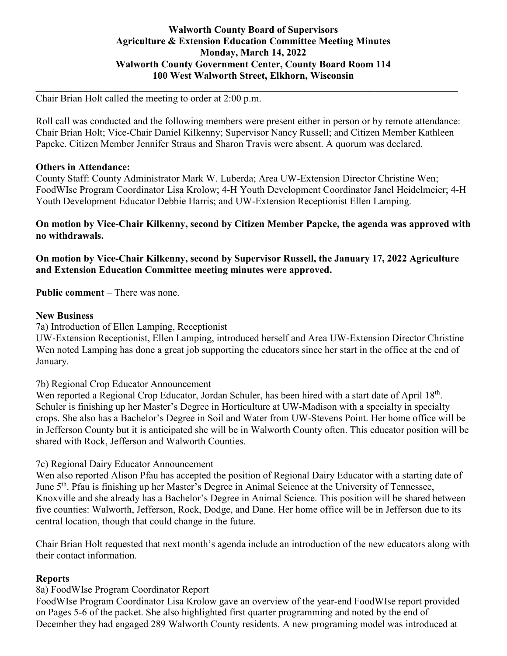### **Walworth County Board of Supervisors Agriculture & Extension Education Committee Meeting Minutes Monday, March 14, 2022 Walworth County Government Center, County Board Room 114 100 West Walworth Street, Elkhorn, Wisconsin**

Chair Brian Holt called the meeting to order at 2:00 p.m.

Roll call was conducted and the following members were present either in person or by remote attendance: Chair Brian Holt; Vice-Chair Daniel Kilkenny; Supervisor Nancy Russell; and Citizen Member Kathleen Papcke. Citizen Member Jennifer Straus and Sharon Travis were absent. A quorum was declared.

 $\mathcal{L}_\mathcal{L} = \{ \mathcal{L}_\mathcal{L} = \{ \mathcal{L}_\mathcal{L} = \{ \mathcal{L}_\mathcal{L} = \{ \mathcal{L}_\mathcal{L} = \{ \mathcal{L}_\mathcal{L} = \{ \mathcal{L}_\mathcal{L} = \{ \mathcal{L}_\mathcal{L} = \{ \mathcal{L}_\mathcal{L} = \{ \mathcal{L}_\mathcal{L} = \{ \mathcal{L}_\mathcal{L} = \{ \mathcal{L}_\mathcal{L} = \{ \mathcal{L}_\mathcal{L} = \{ \mathcal{L}_\mathcal{L} = \{ \mathcal{L}_\mathcal{$ 

#### **Others in Attendance:**

County Staff: County Administrator Mark W. Luberda; Area UW-Extension Director Christine Wen; FoodWIse Program Coordinator Lisa Krolow; 4-H Youth Development Coordinator Janel Heidelmeier; 4-H Youth Development Educator Debbie Harris; and UW-Extension Receptionist Ellen Lamping.

**On motion by Vice-Chair Kilkenny, second by Citizen Member Papcke, the agenda was approved with no withdrawals.** 

**On motion by Vice-Chair Kilkenny, second by Supervisor Russell, the January 17, 2022 Agriculture and Extension Education Committee meeting minutes were approved.** 

**Public comment** – There was none.

#### **New Business**

7a) Introduction of Ellen Lamping, Receptionist

UW-Extension Receptionist, Ellen Lamping, introduced herself and Area UW-Extension Director Christine Wen noted Lamping has done a great job supporting the educators since her start in the office at the end of January.

### 7b) Regional Crop Educator Announcement

Wen reported a Regional Crop Educator, Jordan Schuler, has been hired with a start date of April 18<sup>th</sup>. Schuler is finishing up her Master's Degree in Horticulture at UW-Madison with a specialty in specialty crops. She also has a Bachelor's Degree in Soil and Water from UW-Stevens Point. Her home office will be in Jefferson County but it is anticipated she will be in Walworth County often. This educator position will be shared with Rock, Jefferson and Walworth Counties.

### 7c) Regional Dairy Educator Announcement

Wen also reported Alison Pfau has accepted the position of Regional Dairy Educator with a starting date of June 5th. Pfau is finishing up her Master's Degree in Animal Science at the University of Tennessee, Knoxville and she already has a Bachelor's Degree in Animal Science. This position will be shared between five counties: Walworth, Jefferson, Rock, Dodge, and Dane. Her home office will be in Jefferson due to its central location, though that could change in the future.

Chair Brian Holt requested that next month's agenda include an introduction of the new educators along with their contact information.

### **Reports**

### 8a) FoodWIse Program Coordinator Report

FoodWIse Program Coordinator Lisa Krolow gave an overview of the year-end FoodWIse report provided on Pages 5-6 of the packet. She also highlighted first quarter programming and noted by the end of December they had engaged 289 Walworth County residents. A new programing model was introduced at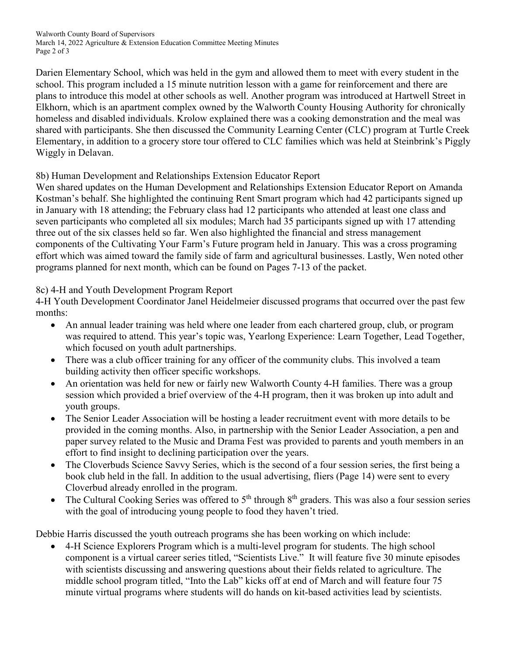Walworth County Board of Supervisors March 14, 2022 Agriculture & Extension Education Committee Meeting Minutes Page 2 of 3

Darien Elementary School, which was held in the gym and allowed them to meet with every student in the school. This program included a 15 minute nutrition lesson with a game for reinforcement and there are plans to introduce this model at other schools as well. Another program was introduced at Hartwell Street in Elkhorn, which is an apartment complex owned by the Walworth County Housing Authority for chronically homeless and disabled individuals. Krolow explained there was a cooking demonstration and the meal was shared with participants. She then discussed the Community Learning Center (CLC) program at Turtle Creek Elementary, in addition to a grocery store tour offered to CLC families which was held at Steinbrink's Piggly Wiggly in Delavan.

# 8b) Human Development and Relationships Extension Educator Report

Wen shared updates on the Human Development and Relationships Extension Educator Report on Amanda Kostman's behalf. She highlighted the continuing Rent Smart program which had 42 participants signed up in January with 18 attending; the February class had 12 participants who attended at least one class and seven participants who completed all six modules; March had 35 participants signed up with 17 attending three out of the six classes held so far. Wen also highlighted the financial and stress management components of the Cultivating Your Farm's Future program held in January. This was a cross programing effort which was aimed toward the family side of farm and agricultural businesses. Lastly, Wen noted other programs planned for next month, which can be found on Pages 7-13 of the packet.

# 8c) 4-H and Youth Development Program Report

4-H Youth Development Coordinator Janel Heidelmeier discussed programs that occurred over the past few months:

- An annual leader training was held where one leader from each chartered group, club, or program was required to attend. This year's topic was, Yearlong Experience: Learn Together, Lead Together, which focused on youth adult partnerships.
- There was a club officer training for any officer of the community clubs. This involved a team building activity then officer specific workshops.
- An orientation was held for new or fairly new Walworth County 4-H families. There was a group session which provided a brief overview of the 4-H program, then it was broken up into adult and youth groups.
- The Senior Leader Association will be hosting a leader recruitment event with more details to be provided in the coming months. Also, in partnership with the Senior Leader Association, a pen and paper survey related to the Music and Drama Fest was provided to parents and youth members in an effort to find insight to declining participation over the years.
- The Cloverbuds Science Savvy Series, which is the second of a four session series, the first being a book club held in the fall. In addition to the usual advertising, fliers (Page 14) were sent to every Cloverbud already enrolled in the program.
- The Cultural Cooking Series was offered to  $5<sup>th</sup>$  through  $8<sup>th</sup>$  graders. This was also a four session series with the goal of introducing young people to food they haven't tried.

Debbie Harris discussed the youth outreach programs she has been working on which include:

• 4-H Science Explorers Program which is a multi-level program for students. The high school component is a virtual career series titled, "Scientists Live." It will feature five 30 minute episodes with scientists discussing and answering questions about their fields related to agriculture. The middle school program titled, "Into the Lab" kicks off at end of March and will feature four 75 minute virtual programs where students will do hands on kit-based activities lead by scientists.